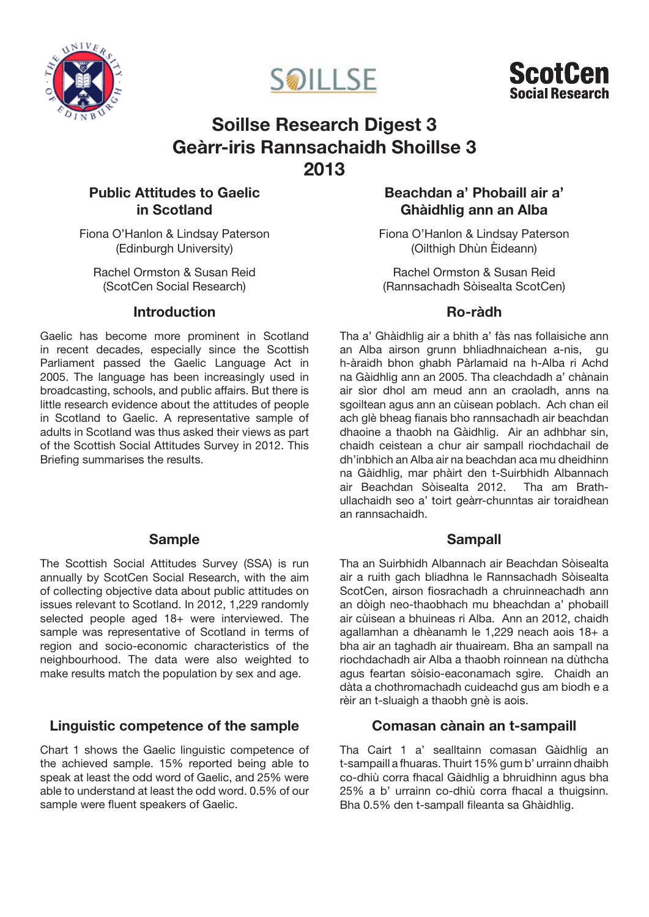





# Soillse Research Digest 3 Geàrr-iris Rannsachaidh Shoillse 3 2013

# Public Attitudes to Gaelic in Scotland

Fiona O'Hanlon & Lindsay Paterson (Edinburgh University)

Rachel Ormston & Susan Reid (ScotCen Social Research)

# Introduction

Gaelic has become more prominent in Scotland in recent decades, especially since the Scottish Parliament passed the Gaelic Language Act in 2005. The language has been increasingly used in broadcasting, schools, and public affairs. But there is little research evidence about the attitudes of people in Scotland to Gaelic. A representative sample of adults in Scotland was thus asked their views as part of the Scottish Social Attitudes Survey in 2012. This Briefing summarises the results.

# Sample

The Scottish Social Attitudes Survey (SSA) is run annually by ScotCen Social Research, with the aim of collecting objective data about public attitudes on issues relevant to Scotland. In 2012, 1,229 randomly selected people aged 18+ were interviewed. The sample was representative of Scotland in terms of region and socio-economic characteristics of the neighbourhood. The data were also weighted to make results match the population by sex and age.

# Linguistic competence of the sample

Chart 1 shows the Gaelic linguistic competence of the achieved sample. 15% reported being able to speak at least the odd word of Gaelic, and 25% were able to understand at least the odd word. 0.5% of our sample were fluent speakers of Gaelic.

# Beachdan a' Phobaill air a' Ghàidhlig ann an Alba

Fiona O'Hanlon & Lindsay Paterson (Oilthigh Dhùn Èideann)

Rachel Ormston & Susan Reid (Rannsachadh Sòisealta ScotCen)

## Ro-ràdh

Tha a' Ghàidhlig air a bhith a' fàs nas follaisiche ann an Alba airson grunn bhliadhnaichean a-nis, gu h-àraidh bhon ghabh Pàrlamaid na h-Alba ri Achd na Gàidhlig ann an 2005. Tha cleachdadh a' chànain air sìor dhol am meud ann an craoladh, anns na sgoiltean agus ann an cùisean poblach. Ach chan eil ach glè bheag fianais bho rannsachadh air beachdan dhaoine a thaobh na Gàidhlig. Air an adhbhar sin, chaidh ceistean a chur air sampall riochdachail de dh'inbhich an Alba air na beachdan aca mu dheidhinn na Gàidhlig, mar phàirt den t-Suirbhidh Albannach air Beachdan Sòisealta 2012. Tha am Brathullachaidh seo a' toirt geàrr-chunntas air toraidhean an rannsachaidh.

# Sampall

Tha an Suirbhidh Albannach air Beachdan Sòisealta air a ruith gach bliadhna le Rannsachadh Sòisealta ScotCen, airson fiosrachadh a chruinneachadh ann an dòigh neo-thaobhach mu bheachdan a' phobaill air cùisean a bhuineas ri Alba. Ann an 2012, chaidh agallamhan a dhèanamh le 1,229 neach aois 18+ a bha air an taghadh air thuaiream. Bha an sampall na riochdachadh air Alba a thaobh roinnean na dùthcha agus feartan sòisio-eaconamach sgìre. Chaidh an dàta a chothromachadh cuideachd gus am biodh e a rèir an t-sluaigh a thaobh gnè is aois.

# Comasan cànain an t-sampaill

Tha Cairt 1 a' sealltainn comasan Gàidhlig an t-sampaill a fhuaras. Thuirt 15% gum b' urrainn dhaibh co-dhiù corra fhacal Gàidhlig a bhruidhinn agus bha 25% a b' urrainn co-dhiù corra fhacal a thuigsinn. Bha 0.5% den t-sampall fileanta sa Ghàidhlig.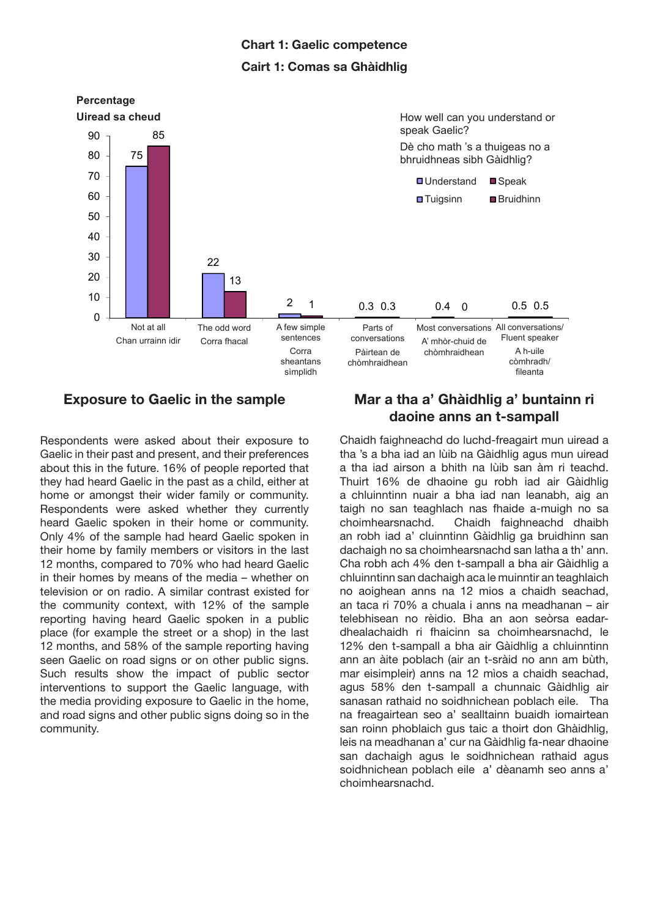# Chart 1: Gaelic competence Cairt 1: Comas sa Ghàidhlig



## Exposure to Gaelic in the sample

Respondents were asked about their exposure to Gaelic in their past and present, and their preferences about this in the future. 16% of people reported that they had heard Gaelic in the past as a child, either at home or amongst their wider family or community. Respondents were asked whether they currently heard Gaelic spoken in their home or community. Only 4% of the sample had heard Gaelic spoken in their home by family members or visitors in the last 12 months, compared to 70% who had heard Gaelic in their homes by means of the media – whether on television or on radio. A similar contrast existed for the community context, with 12% of the sample reporting having heard Gaelic spoken in a public place (for example the street or a shop) in the last 12 months, and 58% of the sample reporting having seen Gaelic on road signs or on other public signs. Such results show the impact of public sector interventions to support the Gaelic language, with the media providing exposure to Gaelic in the home, and road signs and other public signs doing so in the community.

# Mar a tha a' Ghàidhlig a' buntainn ri daoine anns an t-sampall

Chaidh faighneachd do luchd-freagairt mun uiread a tha 's a bha iad an lùib na Gàidhlig agus mun uiread a tha iad airson a bhith na lùib san àm ri teachd. Thuirt 16% de dhaoine gu robh iad air Gàidhlig a chluinntinn nuair a bha iad nan leanabh, aig an taigh no san teaghlach nas fhaide a-muigh no sa choimhearsnachd. Chaidh faighneachd dhaibh an robh iad a' cluinntinn Gàidhlig ga bruidhinn san dachaigh no sa choimhearsnachd san latha a th' ann. Cha robh ach 4% den t-sampall a bha air Gàidhlig a chluinntinn san dachaigh aca le muinntir an teaghlaich no aoighean anns na 12 mios a chaidh seachad, an taca ri 70% a chuala i anns na meadhanan – air telebhisean no rèidio. Bha an aon seòrsa eadardhealachaidh ri fhaicinn sa choimhearsnachd, le 12% den t-sampall a bha air Gàidhlig a chluinntinn ann an àite poblach (air an t-sràid no ann am bùth, mar eisimpleir) anns na 12 mìos a chaidh seachad, agus 58% den t-sampall a chunnaic Gàidhlig air sanasan rathaid no soidhnichean poblach eile. Tha na freagairtean seo a' sealltainn buaidh iomairtean san roinn phoblaich gus taic a thoirt don Ghàidhlig, leis na meadhanan a' cur na Gàidhlig fa-near dhaoine san dachaigh agus le soidhnichean rathaid agus soidhnichean poblach eile a' dèanamh seo anns a' choimhearsnachd.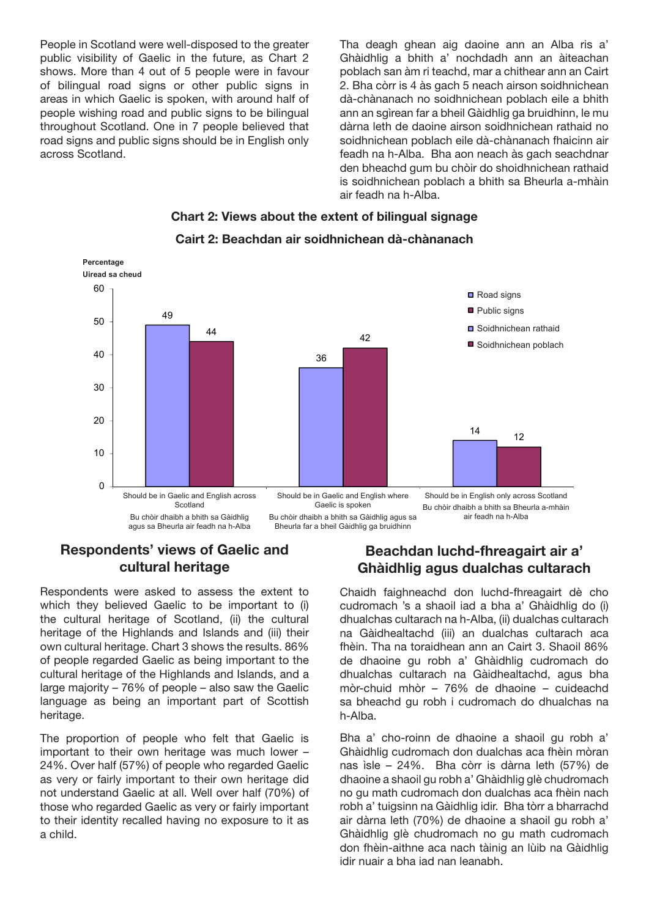People in Scotland were well-disposed to the greater public visibility of Gaelic in the future, as Chart 2 shows. More than 4 out of 5 people were in favour of bilingual road signs or other public signs in areas in which Gaelic is spoken, with around half of people wishing road and public signs to be bilingual throughout Scotland. One in 7 people believed that road signs and public signs should be in English only across Scotland.

Tha deagh ghean aig daoine ann an Alba ris a' Ghàidhlig a bhith a' nochdadh ann an àiteachan poblach san àm ri teachd, mar a chithear ann an Cairt 2. Bha còrr is 4 às gach 5 neach airson soidhnichean dà-chànanach no soidhnichean poblach eile a bhith ann an sgìrean far a bheil Gàidhlig ga bruidhinn, le mu dàrna leth de daoine airson soidhnichean rathaid no soidhnichean poblach eile dà-chànanach fhaicinn air feadh na h-Alba. Bha aon neach às gach seachdnar den bheachd gum bu chòir do shoidhnichean rathaid is soidhnichean poblach a bhith sa Bheurla a-mhàin air feadh na h-Alba.



## Chart 2: Views about the extent of bilingual signage Cairt 2: Beachdan air soidhnichean dà-chànanach

# Respondents' views of Gaelic and cultural heritage

Respondents were asked to assess the extent to which they believed Gaelic to be important to (i) the cultural heritage of Scotland, (ii) the cultural heritage of the Highlands and Islands and (iii) their own cultural heritage. Chart 3 shows the results. 86% of people regarded Gaelic as being important to the cultural heritage of the Highlands and Islands, and a large majority – 76% of people – also saw the Gaelic language as being an important part of Scottish heritage.

The proportion of people who felt that Gaelic is important to their own heritage was much lower – 24%. Over half (57%) of people who regarded Gaelic as very or fairly important to their own heritage did not understand Gaelic at all. Well over half (70%) of those who regarded Gaelic as very or fairly important to their identity recalled having no exposure to it as a child.

# Beachdan luchd-fhreagairt air a' Ghàidhlig agus dualchas cultarach

Chaidh faighneachd don luchd-fhreagairt dè cho cudromach 's a shaoil iad a bha a' Ghàidhlig do (i) dhualchas cultarach na h-Alba, (ii) dualchas cultarach na Gàidhealtachd (iii) an dualchas cultarach aca fhèin. Tha na toraidhean ann an Cairt 3. Shaoil 86% de dhaoine gu robh a' Ghàidhlig cudromach do dhualchas cultarach na Gàidhealtachd, agus bha mòr-chuid mhòr – 76% de dhaoine – cuideachd sa bheachd gu robh i cudromach do dhualchas na h-Alba.

Bha a' cho-roinn de dhaoine a shaoil gu robh a' Ghàidhlig cudromach don dualchas aca fhèin mòran nas ìsle – 24%. Bha còrr is dàrna leth (57%) de dhaoine a shaoil gu robh a' Ghàidhlig glè chudromach no gu math cudromach don dualchas aca fhèin nach robh a' tuigsinn na Gàidhlig idir. Bha tòrr a bharrachd air dàrna leth (70%) de dhaoine a shaoil gu robh a' Ghàidhlig glè chudromach no gu math cudromach don fhèin-aithne aca nach tàinig an lùib na Gàidhlig idir nuair a bha iad nan leanabh.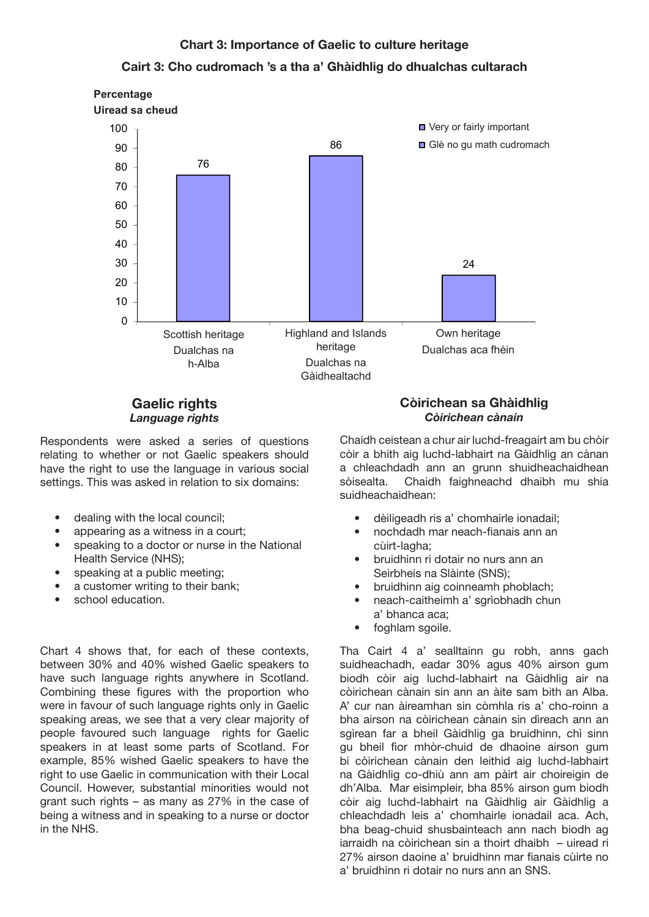### Chart 3: Importance of Gaelic to culture heritage

### Cairt 3: Cho cudromach 's a tha a' Ghàidhlig do dhualchas cultarach





### Gaelic rights *Language rights*

Respondents were asked a series of questions relating to whether or not Gaelic speakers should have the right to use the language in various social settings. This was asked in relation to six domains:

- dealing with the local council;
- appearing as a witness in a court:
- speaking to a doctor or nurse in the National Health Service (NHS);
- speaking at a public meeting;
- a customer writing to their bank;
- school education.

Chart 4 shows that, for each of these contexts, between 30% and 40% wished Gaelic speakers to have such language rights anywhere in Scotland. Combining these figures with the proportion who were in favour of such language rights only in Gaelic speaking areas, we see that a very clear majority of people favoured such language rights for Gaelic speakers in at least some parts of Scotland. For example, 85% wished Gaelic speakers to have the right to use Gaelic in communication with their Local Council. However, substantial minorities would not grant such rights – as many as 27% in the case of being a witness and in speaking to a nurse or doctor in the NHS.

#### Còirichean sa Ghàidhlig *Còirichean cànain*

Chaidh ceistean a chur air luchd-freagairt am bu chòir còir a bhith aig luchd-labhairt na Gàidhlig an cànan a chleachdadh ann an grunn shuidheachaidhean sòisealta. Chaidh faighneachd dhaibh mu shia suidheachaidhean:

- dèiligeadh ris a' chomhairle ionadail;
- nochdadh mar neach-fianais ann an cùirt-lagha;
- bruidhinn ri dotair no nurs ann an Seirbheis na Slàinte (SNS);
- bruidhinn aig coinneamh phoblach;
- neach-caitheimh a' sgrìobhadh chun a' bhanca aca;
- foghlam sgoile.

Tha Cairt 4 a' sealltainn gu robh, anns gach suidheachadh, eadar 30% agus 40% airson gum biodh còir aig luchd-labhairt na Gàidhlig air na còirichean cànain sin ann an àite sam bith an Alba. A' cur nan àireamhan sin còmhla ris a' cho-roinn a bha airson na còirichean cànain sin dìreach ann an sgìrean far a bheil Gàidhlig ga bruidhinn, chì sinn gu bheil fìor mhòr-chuid de dhaoine airson gum bi còirichean cànain den leithid aig luchd-labhairt na Gàidhlig co-dhiù ann am pàirt air choireigin de dh'Alba. Mar eisimpleir, bha 85% airson gum biodh còir aig luchd-labhairt na Gàidhlig air Gàidhlig a chleachdadh leis a' chomhairle ionadail aca. Ach, bha beag-chuid shusbainteach ann nach biodh ag iarraidh na còirichean sin a thoirt dhaibh – uiread ri 27% airson daoine a' bruidhinn mar fianais cùirte no a' bruidhinn ri dotair no nurs ann an SNS.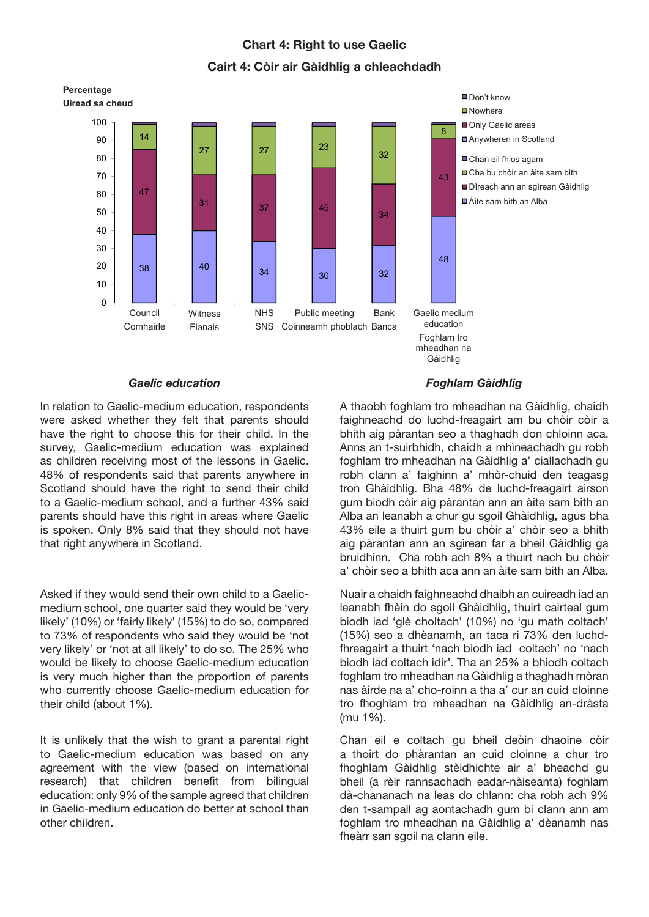### Chart 4: Right to use Gaelic

### Cairt 4: Còir air Gàidhlig a chleachdadh



#### *Gaelic education*

In relation to Gaelic-medium education, respondents were asked whether they felt that parents should have the right to choose this for their child. In the survey, Gaelic-medium education was explained as children receiving most of the lessons in Gaelic. 48% of respondents said that parents anywhere in Scotland should have the right to send their child to a Gaelic-medium school, and a further 43% said parents should have this right in areas where Gaelic is spoken. Only 8% said that they should not have that right anywhere in Scotland.

Asked if they would send their own child to a Gaelicmedium school, one quarter said they would be 'very likely' (10%) or 'fairly likely' (15%) to do so, compared to 73% of respondents who said they would be 'not very likely' or 'not at all likely' to do so. The 25% who would be likely to choose Gaelic-medium education is very much higher than the proportion of parents who currently choose Gaelic-medium education for their child (about 1%).

It is unlikely that the wish to grant a parental right to Gaelic-medium education was based on any agreement with the view (based on international research) that children benefit from bilingual education: only 9% of the sample agreed that children in Gaelic-medium education do better at school than other children.

#### Foghlam Gàidhlig

A thaobh foghlam tro mheadhan na Gàidhlig, chaidh faighneachd do luchd-freagairt am bu chòir còir a bhith aig pàrantan seo a thaghadh don chloinn aca. Anns an t-suirbhidh, chaidh a mhìneachadh gu robh foghlam tro mheadhan na Gàidhlig a' ciallachadh gu robh clann a' faighinn a' mhòr-chuid den teagasg tron Ghàidhlig. Bha 48% de luchd-freagairt airson gum biodh còir aig pàrantan ann an àite sam bith an Alba an leanabh a chur gu sgoil Ghàidhlig, agus bha 43% eile a thuirt gum bu chòir a' chòir seo a bhith aig pàrantan ann an sgìrean far a bheil Gàidhlig ga bruidhinn. Cha robh ach 8% a thuirt nach bu chòir a' chòir seo a bhith aca ann an àite sam bith an Alba.

Nuair a chaidh faighneachd dhaibh an cuireadh iad an leanabh fhèin do sgoil Ghàidhlig, thuirt cairteal gum biodh iad 'glè choltach' (10%) no 'gu math coltach' (15%) seo a dhèanamh, an taca ri 73% den luchdfhreagairt a thuirt 'nach biodh iad coltach' no 'nach biodh iad coltach idir'. Tha an 25% a bhiodh coltach foghlam tro mheadhan na Gàidhlig a thaghadh mòran nas àirde na a' cho-roinn a tha a' cur an cuid cloinne tro fhoghlam tro mheadhan na Gàidhlig an-dràsta (mu 1%).

Chan eil e coltach gu bheil deòin dhaoine còir a thoirt do phàrantan an cuid cloinne a chur tro fhoghlam Gàidhlig stèidhichte air a' bheachd gu bheil (a rèir rannsachadh eadar-nàiseanta) foghlam dà-chananach na leas do chlann: cha robh ach 9% den t-sampall ag aontachadh gum bi clann ann am foghlam tro mheadhan na Gàidhlig a' dèanamh nas fheàrr san sgoil na clann eile.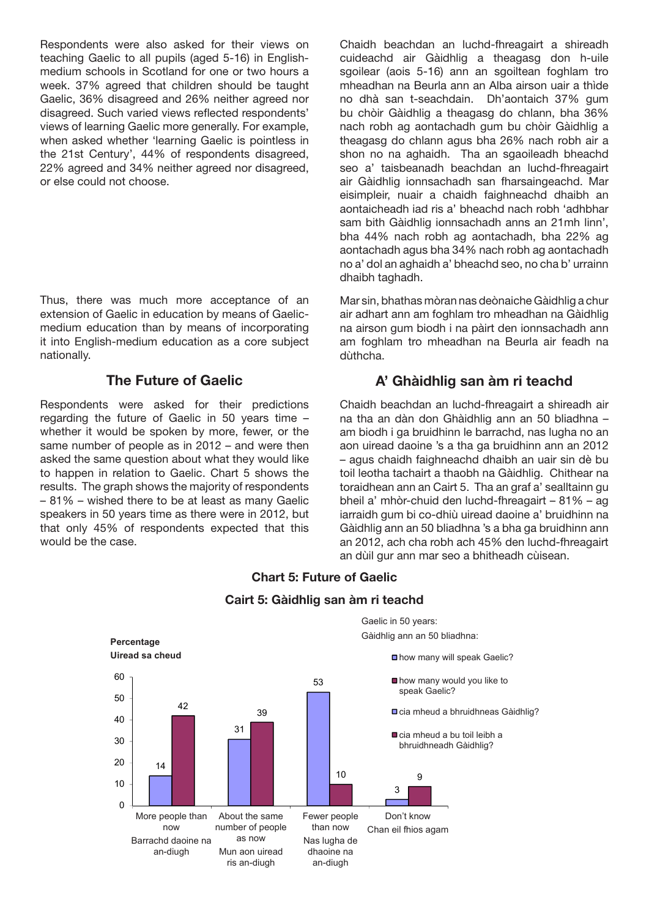Respondents were also asked for their views on teaching Gaelic to all pupils (aged 5-16) in Englishmedium schools in Scotland for one or two hours a week. 37% agreed that children should be taught Gaelic, 36% disagreed and 26% neither agreed nor disagreed. Such varied views reflected respondents' views of learning Gaelic more generally. For example, when asked whether 'learning Gaelic is pointless in the 21st Century', 44% of respondents disagreed, 22% agreed and 34% neither agreed nor disagreed, or else could not choose.

Thus, there was much more acceptance of an extension of Gaelic in education by means of Gaelicmedium education than by means of incorporating it into English-medium education as a core subject nationally.

## The Future of Gaelic

Respondents were asked for their predictions regarding the future of Gaelic in 50 years time – whether it would be spoken by more, fewer, or the same number of people as in 2012 – and were then asked the same question about what they would like to happen in relation to Gaelic. Chart 5 shows the results. The graph shows the majority of respondents – 81% – wished there to be at least as many Gaelic speakers in 50 years time as there were in 2012, but that only 45% of respondents expected that this would be the case.

Chaidh beachdan an luchd-fhreagairt a shireadh cuideachd air Gàidhlig a theagasg don h-uile sgoilear (aois 5-16) ann an sgoiltean foghlam tro mheadhan na Beurla ann an Alba airson uair a thìde no dhà san t-seachdain. Dh'aontaich 37% gum bu chòir Gàidhlig a theagasg do chlann, bha 36% nach robh ag aontachadh gum bu chòir Gàidhlig a theagasg do chlann agus bha 26% nach robh air a shon no na aghaidh. Tha an sgaoileadh bheachd seo a' taisbeanadh beachdan an luchd-fhreagairt air Gàidhlig ionnsachadh san fharsaingeachd. Mar eisimpleir, nuair a chaidh faighneachd dhaibh an aontaicheadh iad ris a' bheachd nach robh 'adhbhar sam bith Gàidhlig ionnsachadh anns an 21mh linn', bha 44% nach robh ag aontachadh, bha 22% ag aontachadh agus bha 34% nach robh ag aontachadh no a' dol an aghaidh a' bheachd seo, no cha b' urrainn dhaibh taghadh.

Mar sin, bhathas mòran nas deònaiche Gàidhlig a chur air adhart ann am foghlam tro mheadhan na Gàidhlig na airson gum biodh i na pàirt den ionnsachadh ann am foghlam tro mheadhan na Beurla air feadh na dùthcha.

# A' Ghàidhlig san àm ri teachd

Chaidh beachdan an luchd-fhreagairt a shireadh air na tha an dàn don Ghàidhlig ann an 50 bliadhna – am biodh i ga bruidhinn le barrachd, nas lugha no an aon uiread daoine 's a tha ga bruidhinn ann an 2012 – agus chaidh faighneachd dhaibh an uair sin dè bu toil leotha tachairt a thaobh na Gàidhlig. Chithear na toraidhean ann an Cairt 5. Tha an graf a' sealltainn gu bheil a' mhòr-chuid den luchd-fhreagairt – 81% – ag iarraidh gum bi co-dhiù uiread daoine a' bruidhinn na Gàidhlig ann an 50 bliadhna 's a bha ga bruidhinn ann an 2012, ach cha robh ach 45% den luchd-fhreagairt an dùil gur ann mar seo a bhitheadh cùisean.



#### Chart 5: Future of Gaelic

Cairt 5: Gàidhlig san àm ri teachd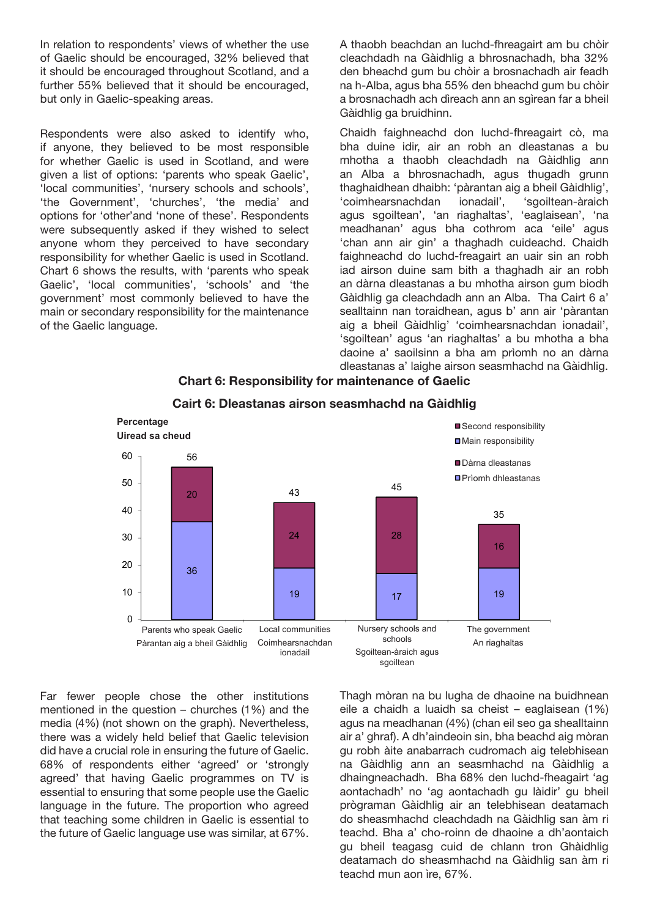In relation to respondents' views of whether the use of Gaelic should be encouraged, 32% believed that it should be encouraged throughout Scotland, and a further 55% believed that it should be encouraged, but only in Gaelic-speaking areas.

Respondents were also asked to identify who, if anyone, they believed to be most responsible for whether Gaelic is used in Scotland, and were given a list of options: 'parents who speak Gaelic', 'local communities', 'nursery schools and schools', 'the Government', 'churches', 'the media' and options for 'other'and 'none of these'. Respondents were subsequently asked if they wished to select anyone whom they perceived to have secondary responsibility for whether Gaelic is used in Scotland. Chart 6 shows the results, with 'parents who speak Gaelic', 'local communities', 'schools' and 'the government' most commonly believed to have the main or secondary responsibility for the maintenance of the Gaelic language.

A thaobh beachdan an luchd-fhreagairt am bu chòir cleachdadh na Gàidhlig a bhrosnachadh, bha 32% den bheachd gum bu chòir a brosnachadh air feadh na h-Alba, agus bha 55% den bheachd gum bu chòir a brosnachadh ach dìreach ann an sgìrean far a bheil Gàidhlig ga bruidhinn.

Chaidh faighneachd don luchd-fhreagairt cò, ma bha duine idir, air an robh an dleastanas a bu mhotha a thaobh cleachdadh na Gàidhlig ann an Alba a bhrosnachadh, agus thugadh grunn thaghaidhean dhaibh: 'pàrantan aig a bheil Gàidhlig', 'coimhearsnachdan ionadail', 'sgoiltean-àraich agus sgoiltean', 'an riaghaltas', 'eaglaisean', 'na meadhanan' agus bha cothrom aca 'eile' agus 'chan ann air gin' a thaghadh cuideachd. Chaidh faighneachd do luchd-freagairt an uair sin an robh iad airson duine sam bith a thaghadh air an robh an dàrna dleastanas a bu mhotha airson gum biodh Gàidhlig ga cleachdadh ann an Alba. Tha Cairt 6 a' sealltainn nan toraidhean, agus b' ann air 'pàrantan aig a bheil Gàidhlig' 'coimhearsnachdan ionadail', 'sgoiltean' agus 'an riaghaltas' a bu mhotha a bha daoine a' saoilsinn a bha am prìomh no an dàrna dleastanas a' laighe airson seasmhachd na Gàidhlig.





# Cairt 6: Dleastanas airson seasmhachd na Gàidhlig

Far fewer people chose the other institutions mentioned in the question – churches (1%) and the media (4%) (not shown on the graph). Nevertheless, there was a widely held belief that Gaelic television did have a crucial role in ensuring the future of Gaelic. 68% of respondents either 'agreed' or 'strongly agreed' that having Gaelic programmes on TV is essential to ensuring that some people use the Gaelic language in the future. The proportion who agreed that teaching some children in Gaelic is essential to the future of Gaelic language use was similar, at 67%. Thagh mòran na bu lugha de dhaoine na buidhnean eile a chaidh a luaidh sa cheist – eaglaisean (1%) agus na meadhanan (4%) (chan eil seo ga shealltainn air a' ghraf). A dh'aindeoin sin, bha beachd aig mòran gu robh àite anabarrach cudromach aig telebhisean na Gàidhlig ann an seasmhachd na Gàidhlig a dhaingneachadh. Bha 68% den luchd-fheagairt 'ag aontachadh' no 'ag aontachadh gu làidir' gu bheil prògraman Gàidhlig air an telebhisean deatamach do sheasmhachd cleachdadh na Gàidhlig san àm ri teachd. Bha a' cho-roinn de dhaoine a dh'aontaich gu bheil teagasg cuid de chlann tron Ghàidhlig deatamach do sheasmhachd na Gàidhlig san àm ri teachd mun aon ìre, 67%.